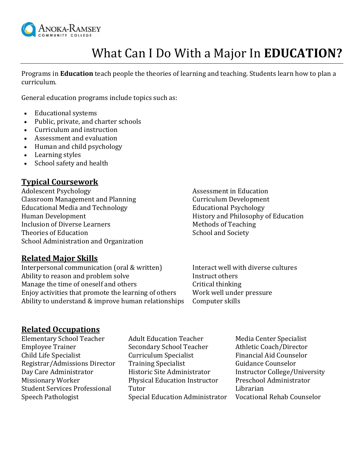

# What Can I Do With a Major In **EDUCATION?**

Programs in **Education** teach people the theories of learning and teaching. Students learn how to plan a curriculum.

General education programs include topics such as:

- Educational systems
- Public, private, and charter schools
- Curriculum and instruction
- Assessment and evaluation
- Human and child psychology
- Learning styles
- School safety and health

## **Typical Coursework**

Adolescent Psychology **Assessment** in Education Classroom Management and Planning Theorem Curriculum Development Educational Media and Technology Educational Psychology Human Development History and Philosophy of Education Inclusion of Diverse Learners **Methods** of Teaching Theories of Education School and Society School Administration and Organization

## **Related Major Skills**

Interpersonal communication (oral & written) Interact well with diverse cultures Ability to reason and problem solve Instruct others Manage the time of oneself and others Critical thinking Enjoy activities that promote the learning of others Work well under pressure Ability to understand & improve human relationships Computer skills

## **Related Occupations**

Elementary School Teacher Adult Education Teacher Media Center Specialist

Employee Trainer Secondary School Teacher Athletic Coach/Director Child Life Specialist Curriculum Specialist Financial Aid Counselor Registrar/Admissions Director Training Specialist Guidance Counselor Day Care Administrator **Historic Site Administrator** Instructor College/University Missionary Worker Physical Education Instructor Preschool Administrator Student Services Professional Tutor Tutor Championeer Championeer Championeer Championeer Championeer Champione Speech Pathologist Special Education Administrator Vocational Rehab Counselor